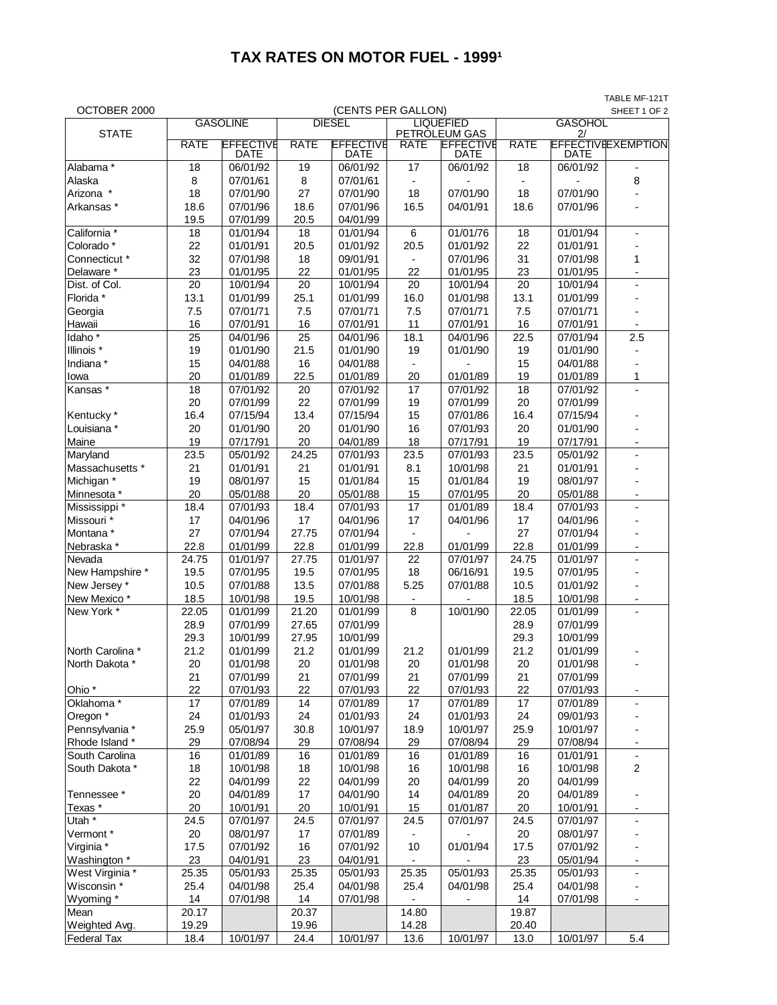## **TAX RATES ON MOTOR FUEL - 19991**

TABLE MF-121T

| OCTOBER 2000          |             |                                 |             | (CENTS PER GALLON)       |                          |                                           |             |                | SHEET 1 OF 2              |
|-----------------------|-------------|---------------------------------|-------------|--------------------------|--------------------------|-------------------------------------------|-------------|----------------|---------------------------|
|                       |             | <b>GASOLINE</b>                 |             | <b>DIESEL</b>            | <b>LIQUEFIED</b>         |                                           |             | <b>GASOHOL</b> |                           |
| <b>STATE</b>          | <b>RATE</b> | <b>EFFECTIVE</b><br><b>DATE</b> | <b>RATE</b> | <b>EFFECTIVE</b><br>DATE | <b>RATE</b>              | PETROLEUM GAS<br><b>EFFECTIVE</b><br>DATE | <b>RATE</b> | 2/<br>DATE     | <b>EFFECTIVEEXEMPTION</b> |
| Alabama*              | 18          | 06/01/92                        | 19          | 06/01/92                 | 17                       | 06/01/92                                  | 18          | 06/01/92       |                           |
| Alaska                | 8           | 07/01/61                        | 8           | 07/01/61                 | $\overline{a}$           |                                           |             |                | 8                         |
| Arizona *             | 18          | 07/01/90                        | 27          | 07/01/90                 | 18                       | 07/01/90                                  | 18          | 07/01/90       |                           |
| Arkansas *            | 18.6        | 07/01/96                        | 18.6        | 07/01/96                 | 16.5                     | 04/01/91                                  | 18.6        | 07/01/96       |                           |
|                       | 19.5        | 07/01/99                        | 20.5        | 04/01/99                 |                          |                                           |             |                |                           |
| California *          | 18          | 01/01/94                        | 18          | 01/01/94                 | $\,6$                    | 01/01/76                                  | 18          | 01/01/94       | $\overline{\phantom{0}}$  |
| Colorado*             | 22          | 01/01/91                        | 20.5        | 01/01/92                 | 20.5                     | 01/01/92                                  | 22          | 01/01/91       |                           |
| Connecticut *         | 32          | 07/01/98                        | 18          | 09/01/91                 | $\overline{\phantom{a}}$ | 07/01/96                                  | 31          | 07/01/98       | 1                         |
| Delaware *            | 23          | 01/01/95                        | 22          | 01/01/95                 | 22                       | 01/01/95                                  | 23          | 01/01/95       |                           |
| Dist. of Col.         | 20          | 10/01/94                        | 20          | 10/01/94                 | 20                       | 10/01/94                                  | 20          | 10/01/94       | $\overline{a}$            |
| Florida *             | 13.1        | 01/01/99                        | 25.1        | 01/01/99                 | 16.0                     | 01/01/98                                  | 13.1        | 01/01/99       |                           |
| Georgia               | 7.5         | 07/01/71                        | 7.5         | 07/01/71                 | 7.5                      | 07/01/71                                  | 7.5         | 07/01/71       |                           |
| Hawaii                | 16          | 07/01/91                        | 16          | 07/01/91                 | 11                       | 07/01/91                                  | 16          | 07/01/91       |                           |
| Idaho <sup>*</sup>    | 25          | 04/01/96                        | 25          | 04/01/96                 | 18.1                     | 04/01/96                                  | 22.5        | 07/01/94       | 2.5                       |
| Illinois *            | 19          | 01/01/90                        | 21.5        | 01/01/90                 | 19                       | 01/01/90                                  | 19          | 01/01/90       |                           |
| Indiana *             | 15          | 04/01/88                        | 16          | 04/01/88                 | $\blacksquare$           |                                           | 15          | 04/01/88       |                           |
| lowa                  | 20          | 01/01/89                        | 22.5        | 01/01/89                 | 20                       | 01/01/89                                  | 19          | 01/01/89       | 1                         |
| Kansas*               | 18          | 07/01/92                        | 20          | 07/01/92                 | 17                       | 07/01/92                                  | 18          | 07/01/92       | $\overline{a}$            |
|                       | 20          | 07/01/99                        | 22          | 07/01/99                 | 19                       | 07/01/99                                  | 20          | 07/01/99       |                           |
| Kentucky <sup>*</sup> | 16.4        | 07/15/94                        | 13.4        | 07/15/94                 | 15                       | 07/01/86                                  | 16.4        | 07/15/94       |                           |
| Louisiana *           | 20          | 01/01/90                        | 20          | 01/01/90                 | 16                       | 07/01/93                                  | 20          | 01/01/90       |                           |
| Maine                 | 19          | 07/17/91                        | 20          | 04/01/89                 | 18                       | 07/17/91                                  | 19          | 07/17/91       | -                         |
| Maryland              | 23.5        | 05/01/92                        | 24.25       | 07/01/93                 | 23.5                     | 07/01/93                                  | 23.5        | 05/01/92       | $\overline{a}$            |
| Massachusetts *       | 21          | 01/01/91                        | 21          | 01/01/91                 | 8.1                      | 10/01/98                                  | 21          | 01/01/91       |                           |
| Michigan *            | 19          | 08/01/97                        | 15          | 01/01/84                 | 15                       | 01/01/84                                  | 19          | 08/01/97       |                           |
| Minnesota *           | 20          | 05/01/88                        | 20          | 05/01/88                 | 15                       | 07/01/95                                  | 20          | 05/01/88       |                           |
| Mississippi *         | 18.4        | 07/01/93                        | 18.4        | 07/01/93                 | 17                       | 01/01/89                                  | 18.4        | 07/01/93       | $\overline{a}$            |
| Missouri *            | 17          | 04/01/96                        | 17          | 04/01/96                 | 17                       | 04/01/96                                  | 17          | 04/01/96       |                           |
| Montana*              | 27          | 07/01/94                        | 27.75       | 07/01/94                 | $\overline{\phantom{0}}$ |                                           | 27          | 07/01/94       |                           |
| Nebraska*             | 22.8        | 01/01/99                        | 22.8        | 01/01/99                 | 22.8                     | 01/01/99                                  | 22.8        | 01/01/99       |                           |
| Nevada                | 24.75       | 01/01/97                        | 27.75       | 01/01/97                 | 22                       | 07/01/97                                  | 24.75       | 01/01/97       | $\overline{a}$            |
| New Hampshire *       | 19.5        | 07/01/95                        | 19.5        | 07/01/95                 | 18                       | 06/16/91                                  | 19.5        | 07/01/95       |                           |
| New Jersey *          | 10.5        | 07/01/88                        | 13.5        | 07/01/88                 | 5.25                     | 07/01/88                                  | 10.5        | 01/01/92       |                           |
| New Mexico*           | 18.5        | 10/01/98                        | 19.5        | 10/01/98                 | $\overline{\phantom{0}}$ |                                           | 18.5        | 10/01/98       |                           |
| New York *            | 22.05       | 01/01/99                        | 21.20       | 01/01/99                 | 8                        | 10/01/90                                  | 22.05       | 01/01/99       | -                         |
|                       | 28.9        | 07/01/99                        | 27.65       | 07/01/99                 |                          |                                           | 28.9        | 07/01/99       |                           |
|                       | 29.3        | 10/01/99                        | 27.95       | 10/01/99                 |                          |                                           | 29.3        | 10/01/99       |                           |
| North Carolina *      | 21.2        | 01/01/99                        | 21.2        | 01/01/99                 | 21.2                     | 01/01/99                                  | 21.2        | 01/01/99       |                           |
| North Dakota *        | 20          | 01/01/98                        | 20          | 01/01/98                 | 20                       | 01/01/98                                  | 20          | 01/01/98       |                           |
|                       | 21          | 07/01/99                        | 21          | 07/01/99                 | 21                       | 07/01/99                                  | 21          | 07/01/99       |                           |
| Ohio <sup>*</sup>     | 22          | 07/01/93                        | 22          | 07/01/93                 | 22                       | 07/01/93                                  | 22          | 07/01/93       | -                         |
| Oklahoma <sup>*</sup> | 17          | 07/01/89                        | 14          | 07/01/89                 | 17                       | 07/01/89                                  | 17          | 07/01/89       |                           |
| Oregon *              | 24          | 01/01/93                        | 24          | 01/01/93                 | 24                       | 01/01/93                                  | 24          | 09/01/93       |                           |
| Pennsylvania *        | 25.9        | 05/01/97                        | 30.8        | 10/01/97                 | 18.9                     | 10/01/97                                  | 25.9        | 10/01/97       |                           |
| Rhode Island *        | 29          | 07/08/94                        | 29          | 07/08/94                 | 29                       | 07/08/94                                  | 29          | 07/08/94       |                           |
| South Carolina        | 16          | 01/01/89                        | 16          | 01/01/89                 | 16                       | 01/01/89                                  | 16          | 01/01/91       |                           |
| South Dakota *        | 18          | 10/01/98                        | 18          | 10/01/98                 | 16                       | 10/01/98                                  | 16          | 10/01/98       | $\overline{2}$            |
|                       | 22          | 04/01/99                        | 22          | 04/01/99                 | 20                       | 04/01/99                                  | 20          | 04/01/99       |                           |
| Tennessee *           | 20          | 04/01/89                        | 17          | 04/01/90                 | 14                       | 04/01/89                                  | 20          | 04/01/89       |                           |
| Texas *               | 20          | 10/01/91                        | 20          | 10/01/91                 | 15                       | 01/01/87                                  | 20          | 10/01/91       |                           |
| Utah *                | 24.5        | 07/01/97                        | 24.5        | 07/01/97                 | 24.5                     | 07/01/97                                  | 24.5        | 07/01/97       |                           |
| Vermont*              | 20          | 08/01/97                        | 17          | 07/01/89                 | $\overline{\phantom{0}}$ |                                           | 20          | 08/01/97       |                           |
| Virginia*             | 17.5        | 07/01/92                        | 16          | 07/01/92                 | 10                       | 01/01/94                                  | 17.5        | 07/01/92       |                           |
| Washington *          | 23          | 04/01/91                        | 23          | 04/01/91                 |                          |                                           | 23          | 05/01/94       |                           |
| West Virginia *       | 25.35       | 05/01/93                        | 25.35       | 05/01/93                 | 25.35                    | 05/01/93                                  | 25.35       | 05/01/93       | $\overline{a}$            |
| Wisconsin *           | 25.4        | 04/01/98                        | 25.4        | 04/01/98                 | 25.4                     | 04/01/98                                  | 25.4        | 04/01/98       |                           |
| Wyoming *             | 14          | 07/01/98                        | 14          | 07/01/98                 |                          |                                           | 14          | 07/01/98       |                           |
| Mean                  | 20.17       |                                 | 20.37       |                          | 14.80                    |                                           | 19.87       |                |                           |
| Weighted Avg.         | 19.29       |                                 | 19.96       |                          | 14.28                    |                                           | 20.40       |                |                           |
| <b>Federal Tax</b>    | 18.4        | 10/01/97                        | 24.4        | 10/01/97                 | 13.6                     | 10/01/97                                  | 13.0        | 10/01/97       | 5.4                       |